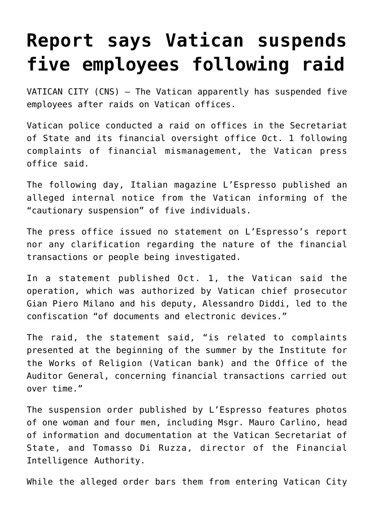## **[Report says Vatican suspends](https://www.osvnews.com/2019/10/02/report-says-vatican-suspends-five-employees-following-raid/) [five employees following raid](https://www.osvnews.com/2019/10/02/report-says-vatican-suspends-five-employees-following-raid/)**

VATICAN CITY (CNS) — The Vatican apparently has suspended five employees after raids on Vatican offices.

Vatican police conducted a raid on offices in the Secretariat of State and its financial oversight office Oct. 1 following complaints of financial mismanagement, the Vatican press office said.

The following day, Italian magazine L'Espresso published an alleged internal notice from the Vatican informing of the "cautionary suspension" of five individuals.

The press office issued no statement on L'Espresso's report nor any clarification regarding the nature of the financial transactions or people being investigated.

In a statement published Oct. 1, the Vatican said the operation, which was authorized by Vatican chief prosecutor Gian Piero Milano and his deputy, Alessandro Diddi, led to the confiscation "of documents and electronic devices."

The raid, the statement said, "is related to complaints presented at the beginning of the summer by the Institute for the Works of Religion (Vatican bank) and the Office of the Auditor General, concerning financial transactions carried out over time."

The suspension order published by L'Espresso features photos of one woman and four men, including Msgr. Mauro Carlino, head of information and documentation at the Vatican Secretariat of State, and Tomasso Di Ruzza, director of the Financial Intelligence Authority.

While the alleged order bars them from entering Vatican City